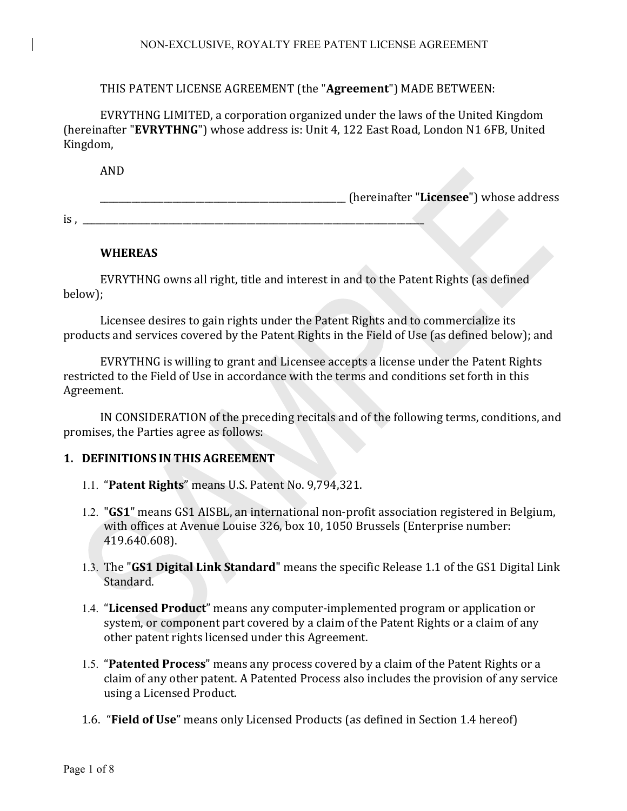## THIS PATENT LICENSE AGREEMENT (the "Agreement") MADE BETWEEN:

EVRYTHNG LIMITED, a corporation organized under the laws of the United Kingdom (hereinafter "EVRYTHNG") whose address is: Unit 4, 122 East Road, London N1 6FB, United Kingdom,

AND

\_\_\_\_\_\_\_\_\_\_\_\_\_\_\_\_\_\_\_\_\_\_\_\_\_\_\_\_\_\_\_\_\_\_\_\_\_\_\_\_\_\_\_\_\_\_\_\_\_\_\_\_\_\_ (hereinafter "**Licensee**") whose address 

 $is, \_\_$ 

# **WHEREAS**

EVRYTHNG owns all right, title and interest in and to the Patent Rights (as defined below);

Licensee desires to gain rights under the Patent Rights and to commercialize its products and services covered by the Patent Rights in the Field of Use (as defined below); and

EVRYTHNG is willing to grant and Licensee accepts a license under the Patent Rights restricted to the Field of Use in accordance with the terms and conditions set forth in this Agreement.

IN CONSIDERATION of the preceding recitals and of the following terms, conditions, and promises, the Parties agree as follows:

# **1. DEFINITIONS IN THIS AGREEMENT**

- 1.1. "**Patent Rights**" means U.S. Patent No. 9,794,321.
- 1.2. "GS1" means GS1 AISBL, an international non-profit association registered in Belgium, with offices at Avenue Louise 326, box 10, 1050 Brussels (Enterprise number: 419.640.608).
- 1.3. The "GS1 Digital Link Standard" means the specific Release 1.1 of the GS1 Digital Link Standard.
- 1.4. "Licensed Product" means any computer-implemented program or application or system, or component part covered by a claim of the Patent Rights or a claim of any other patent rights licensed under this Agreement.
- 1.5. "Patented Process" means any process covered by a claim of the Patent Rights or a claim of any other patent. A Patented Process also includes the provision of any service using a Licensed Product.
- 1.6. "**Field of Use**" means only Licensed Products (as defined in Section 1.4 hereof)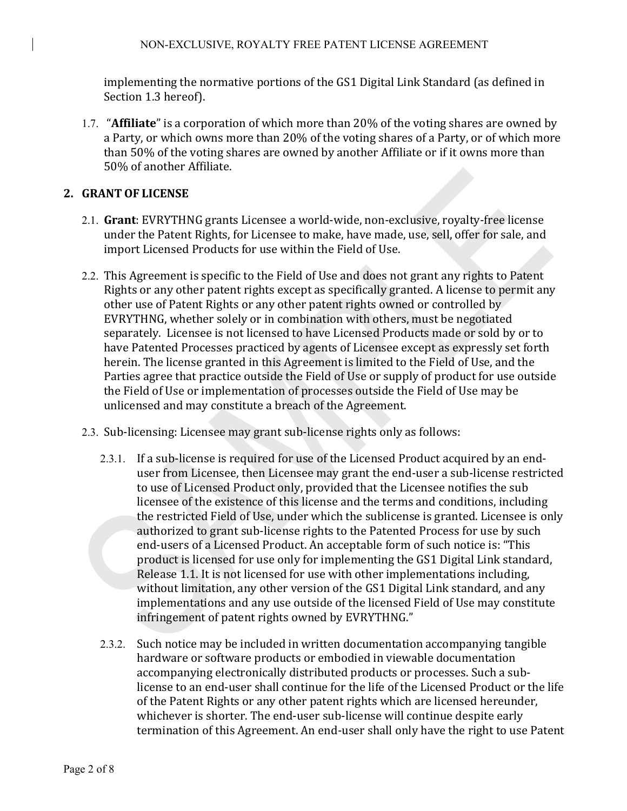implementing the normative portions of the GS1 Digital Link Standard (as defined in Section 1.3 hereof).

1.7. "**Affiliate**" is a corporation of which more than 20% of the voting shares are owned by a Party, or which owns more than 20% of the voting shares of a Party, or of which more than 50% of the voting shares are owned by another Affiliate or if it owns more than 50% of another Affiliate.

#### **2. GRANT OF LICENSE**

- 2.1. Grant: EVRYTHNG grants Licensee a world-wide, non-exclusive, royalty-free license under the Patent Rights, for Licensee to make, have made, use, sell, offer for sale, and import Licensed Products for use within the Field of Use.
- 2.2. This Agreement is specific to the Field of Use and does not grant any rights to Patent Rights or any other patent rights except as specifically granted. A license to permit any other use of Patent Rights or any other patent rights owned or controlled by EVRYTHNG, whether solely or in combination with others, must be negotiated separately. Licensee is not licensed to have Licensed Products made or sold by or to have Patented Processes practiced by agents of Licensee except as expressly set forth herein. The license granted in this Agreement is limited to the Field of Use, and the Parties agree that practice outside the Field of Use or supply of product for use outside the Field of Use or implementation of processes outside the Field of Use may be unlicensed and may constitute a breach of the Agreement.
- 2.3. Sub-licensing: Licensee may grant sub-license rights only as follows:
	- 2.3.1. If a sub-license is required for use of the Licensed Product acquired by an enduser from Licensee, then Licensee may grant the end-user a sub-license restricted to use of Licensed Product only, provided that the Licensee notifies the sub licensee of the existence of this license and the terms and conditions, including the restricted Field of Use, under which the sublicense is granted. Licensee is only authorized to grant sub-license rights to the Patented Process for use by such end-users of a Licensed Product. An acceptable form of such notice is: "This product is licensed for use only for implementing the GS1 Digital Link standard, Release 1.1. It is not licensed for use with other implementations including, without limitation, any other version of the GS1 Digital Link standard, and any implementations and any use outside of the licensed Field of Use may constitute infringement of patent rights owned by EVRYTHNG."
	- 2.3.2. Such notice may be included in written documentation accompanying tangible hardware or software products or embodied in viewable documentation accompanying electronically distributed products or processes. Such a sublicense to an end-user shall continue for the life of the Licensed Product or the life of the Patent Rights or any other patent rights which are licensed hereunder, whichever is shorter. The end-user sub-license will continue despite early termination of this Agreement. An end-user shall only have the right to use Patent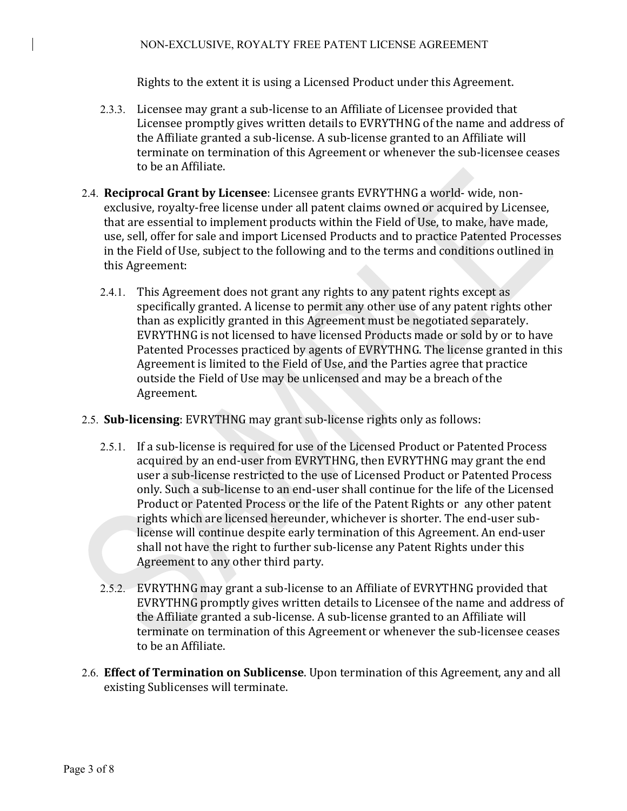Rights to the extent it is using a Licensed Product under this Agreement.

- 2.3.3. Licensee may grant a sub-license to an Affiliate of Licensee provided that Licensee promptly gives written details to EVRYTHNG of the name and address of the Affiliate granted a sub-license. A sub-license granted to an Affiliate will terminate on termination of this Agreement or whenever the sub-licensee ceases to be an Affiliate.
- 2.4. **Reciprocal Grant by Licensee**: Licensee grants EVRYTHNG a world- wide, nonexclusive, royalty-free license under all patent claims owned or acquired by Licensee, that are essential to implement products within the Field of Use, to make, have made, use, sell, offer for sale and import Licensed Products and to practice Patented Processes in the Field of Use, subject to the following and to the terms and conditions outlined in this Agreement:
	- 2.4.1. This Agreement does not grant any rights to any patent rights except as specifically granted. A license to permit any other use of any patent rights other than as explicitly granted in this Agreement must be negotiated separately. EVRYTHNG is not licensed to have licensed Products made or sold by or to have Patented Processes practiced by agents of EVRYTHNG. The license granted in this Agreement is limited to the Field of Use, and the Parties agree that practice outside the Field of Use may be unlicensed and may be a breach of the Agreement.
- 2.5. **Sub-licensing**: EVRYTHNG may grant sub-license rights only as follows:
	- 2.5.1. If a sub-license is required for use of the Licensed Product or Patented Process acquired by an end-user from EVRYTHNG, then EVRYTHNG may grant the end user a sub-license restricted to the use of Licensed Product or Patented Process only. Such a sub-license to an end-user shall continue for the life of the Licensed Product or Patented Process or the life of the Patent Rights or any other patent rights which are licensed hereunder, whichever is shorter. The end-user sublicense will continue despite early termination of this Agreement. An end-user shall not have the right to further sub-license any Patent Rights under this Agreement to any other third party.
	- 2.5.2. EVRYTHNG may grant a sub-license to an Affiliate of EVRYTHNG provided that EVRYTHNG promptly gives written details to Licensee of the name and address of the Affiliate granted a sub-license. A sub-license granted to an Affiliate will terminate on termination of this Agreement or whenever the sub-licensee ceases to be an Affiliate.
- 2.6. **Effect of Termination on Sublicense**. Upon termination of this Agreement, any and all existing Sublicenses will terminate.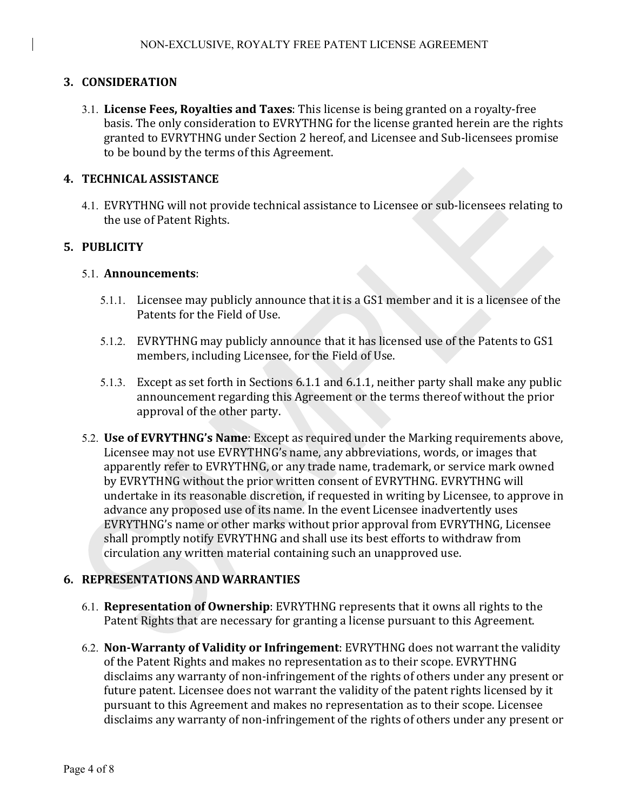## **3. CONSIDERATION**

3.1. License Fees, Royalties and Taxes: This license is being granted on a royalty-free basis. The only consideration to EVRYTHNG for the license granted herein are the rights granted to EVRYTHNG under Section 2 hereof, and Licensee and Sub-licensees promise to be bound by the terms of this Agreement.

#### **4. TECHNICAL ASSISTANCE**

4.1. EVRYTHNG will not provide technical assistance to Licensee or sub-licensees relating to the use of Patent Rights.

## **5. PUBLICITY**

#### 5.1. **Announcements**:

- 5.1.1. Licensee may publicly announce that it is a GS1 member and it is a licensee of the Patents for the Field of Use.
- 5.1.2. EVRYTHNG may publicly announce that it has licensed use of the Patents to GS1 members, including Licensee, for the Field of Use.
- 5.1.3. Except as set forth in Sections 6.1.1 and 6.1.1, neither party shall make any public announcement regarding this Agreement or the terms thereof without the prior approval of the other party.
- 5.2. **Use of EVRYTHNG's Name**: Except as required under the Marking requirements above, Licensee may not use  $EVRYTHNG's$  name, any abbreviations, words, or images that apparently refer to EVRYTHNG, or any trade name, trademark, or service mark owned by EVRYTHNG without the prior written consent of EVRYTHNG. EVRYTHNG will undertake in its reasonable discretion, if requested in writing by Licensee, to approve in advance any proposed use of its name. In the event Licensee inadvertently uses EVRYTHNG's name or other marks without prior approval from EVRYTHNG, Licensee shall promptly notify EVRYTHNG and shall use its best efforts to withdraw from circulation any written material containing such an unapproved use.

#### **6. REPRESENTATIONS AND WARRANTIES**

- 6.1. **Representation of Ownership**: EVRYTHNG represents that it owns all rights to the Patent Rights that are necessary for granting a license pursuant to this Agreement.
- 6.2. **Non-Warranty of Validity or Infringement**: EVRYTHNG does not warrant the validity of the Patent Rights and makes no representation as to their scope. EVRYTHNG disclaims any warranty of non-infringement of the rights of others under any present or future patent. Licensee does not warrant the validity of the patent rights licensed by it pursuant to this Agreement and makes no representation as to their scope. Licensee disclaims any warranty of non-infringement of the rights of others under any present or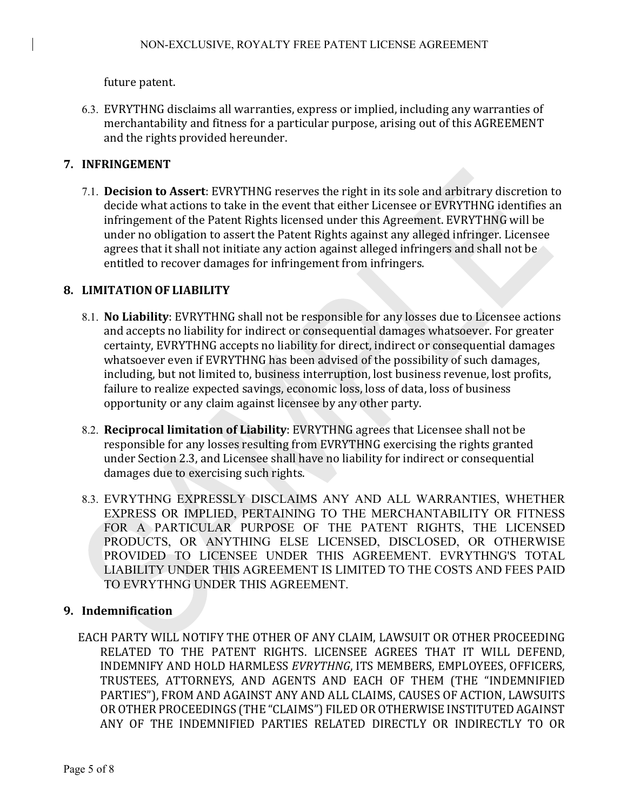future patent.

6.3. EVRYTHNG disclaims all warranties, express or implied, including any warranties of merchantability and fitness for a particular purpose, arising out of this AGREEMENT and the rights provided hereunder.

# **7. INFRINGEMENT**

7.1. **Decision to Assert**: EVRYTHNG reserves the right in its sole and arbitrary discretion to decide what actions to take in the event that either Licensee or EVRYTHNG identifies an infringement of the Patent Rights licensed under this Agreement. EVRYTHNG will be under no obligation to assert the Patent Rights against any alleged infringer. Licensee agrees that it shall not initiate any action against alleged infringers and shall not be entitled to recover damages for infringement from infringers.

## **8. LIMITATION OF LIABILITY**

- 8.1. **No Liability**: EVRYTHNG shall not be responsible for any losses due to Licensee actions and accepts no liability for indirect or consequential damages whatsoever. For greater certainty, EVRYTHNG accepts no liability for direct, indirect or consequential damages whatsoever even if EVRYTHNG has been advised of the possibility of such damages, including, but not limited to, business interruption, lost business revenue, lost profits, failure to realize expected savings, economic loss, loss of data, loss of business opportunity or any claim against licensee by any other party.
- 8.2. **Reciprocal limitation of Liability**: EVRYTHNG agrees that Licensee shall not be responsible for any losses resulting from EVRYTHNG exercising the rights granted under Section 2.3, and Licensee shall have no liability for indirect or consequential damages due to exercising such rights.
- 8.3. EVRYTHNG EXPRESSLY DISCLAIMS ANY AND ALL WARRANTIES, WHETHER EXPRESS OR IMPLIED, PERTAINING TO THE MERCHANTABILITY OR FITNESS FOR A PARTICULAR PURPOSE OF THE PATENT RIGHTS, THE LICENSED PRODUCTS, OR ANYTHING ELSE LICENSED, DISCLOSED, OR OTHERWISE PROVIDED TO LICENSEE UNDER THIS AGREEMENT. EVRYTHNG'S TOTAL LIABILITY UNDER THIS AGREEMENT IS LIMITED TO THE COSTS AND FEES PAID TO EVRYTHNG UNDER THIS AGREEMENT.

## **9. Indemnification**

EACH PARTY WILL NOTIFY THE OTHER OF ANY CLAIM, LAWSUIT OR OTHER PROCEEDING RELATED TO THE PATENT RIGHTS. LICENSEE AGREES THAT IT WILL DEFEND, INDEMNIFY AND HOLD HARMLESS EVRYTHNG, ITS MEMBERS, EMPLOYEES, OFFICERS, TRUSTEES, ATTORNEYS, AND AGENTS AND EACH OF THEM (THE "INDEMNIFIED PARTIES"), FROM AND AGAINST ANY AND ALL CLAIMS, CAUSES OF ACTION, LAWSUITS OR OTHER PROCEEDINGS (THE "CLAIMS") FILED OR OTHERWISE INSTITUTED AGAINST ANY OF THE INDEMNIFIED PARTIES RELATED DIRECTLY OR INDIRECTLY TO OR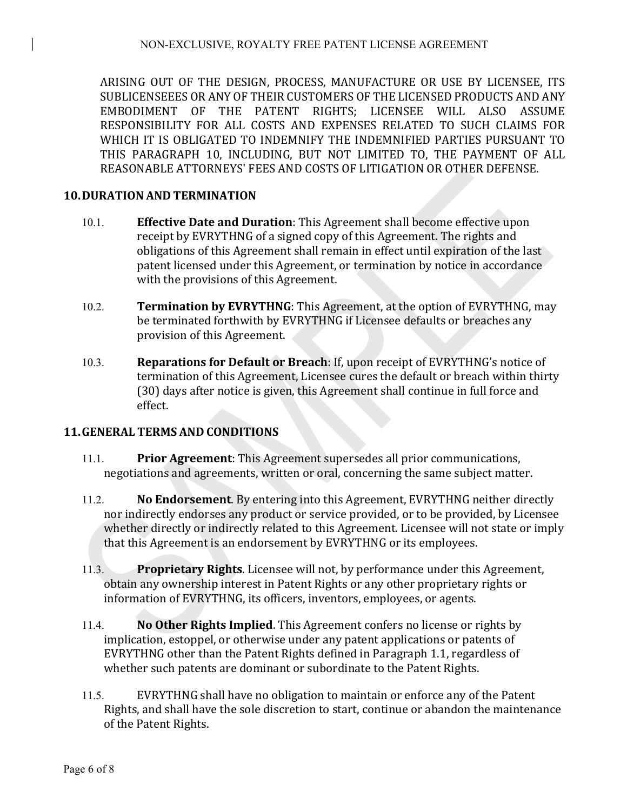ARISING OUT OF THE DESIGN, PROCESS, MANUFACTURE OR USE BY LICENSEE, ITS SUBLICENSEEES OR ANY OF THEIR CUSTOMERS OF THE LICENSED PRODUCTS AND ANY EMBODIMENT OF THE PATENT RIGHTS: LICENSEE WILL ALSO ASSUME RESPONSIBILITY FOR ALL COSTS AND EXPENSES RELATED TO SUCH CLAIMS FOR WHICH IT IS OBLIGATED TO INDEMNIFY THE INDEMNIFIED PARTIES PURSUANT TO THIS PARAGRAPH 10, INCLUDING, BUT NOT LIMITED TO, THE PAYMENT OF ALL REASONABLE ATTORNEYS' FEES AND COSTS OF LITIGATION OR OTHER DEFENSE.

# **10.DURATION AND TERMINATION**

- 10.1. **Effective Date and Duration**: This Agreement shall become effective upon receipt by EVRYTHNG of a signed copy of this Agreement. The rights and obligations of this Agreement shall remain in effect until expiration of the last patent licensed under this Agreement, or termination by notice in accordance with the provisions of this Agreement.
- 10.2. **Termination by EVRYTHNG**: This Agreement, at the option of EVRYTHNG, may be terminated forthwith by EVRYTHNG if Licensee defaults or breaches any provision of this Agreement.
- 10.3. **Reparations for Default or Breach:** If, upon receipt of EVRYTHNG's notice of termination of this Agreement, Licensee cures the default or breach within thirty (30) days after notice is given, this Agreement shall continue in full force and effect.

# **11.GENERAL TERMS AND CONDITIONS**

- 11.1. **Prior Agreement**: This Agreement supersedes all prior communications, negotiations and agreements, written or oral, concerning the same subject matter.
- 11.2. **No Endorsement**. By entering into this Agreement, EVRYTHNG neither directly nor indirectly endorses any product or service provided, or to be provided, by Licensee whether directly or indirectly related to this Agreement. Licensee will not state or imply that this Agreement is an endorsement by EVRYTHNG or its employees.
- 11.3. **Proprietary Rights**. Licensee will not, by performance under this Agreement, obtain any ownership interest in Patent Rights or any other proprietary rights or information of EVRYTHNG, its officers, inventors, employees, or agents.
- 11.4. **No Other Rights Implied**. This Agreement confers no license or rights by implication, estoppel, or otherwise under any patent applications or patents of EVRYTHNG other than the Patent Rights defined in Paragraph 1.1, regardless of whether such patents are dominant or subordinate to the Patent Rights.
- 11.5. EVRYTHNG shall have no obligation to maintain or enforce any of the Patent Rights, and shall have the sole discretion to start, continue or abandon the maintenance of the Patent Rights.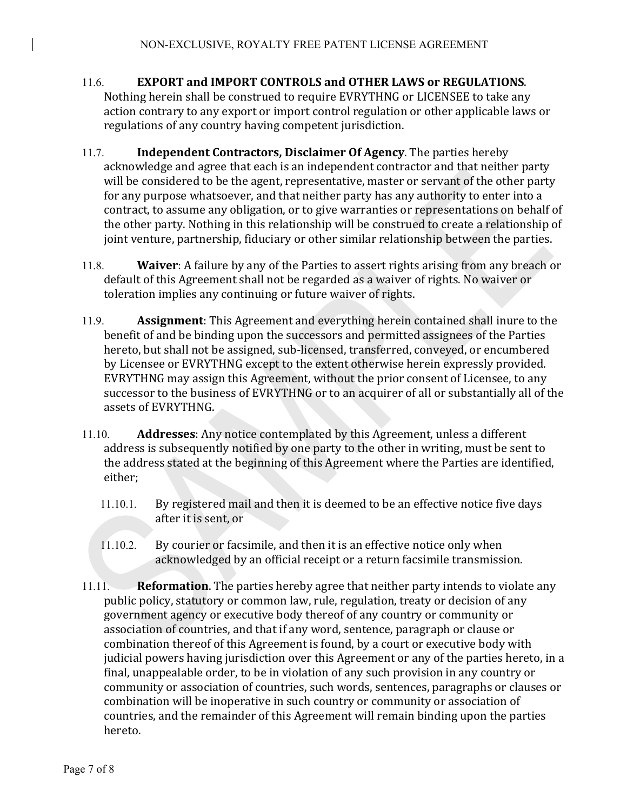- 11.6. **EXPORT and IMPORT CONTROLS and OTHER LAWS or REGULATIONS.** Nothing herein shall be construed to require EVRYTHNG or LICENSEE to take any action contrary to any export or import control regulation or other applicable laws or regulations of any country having competent jurisdiction.
- 11.7. **Independent Contractors, Disclaimer Of Agency**. The parties hereby acknowledge and agree that each is an independent contractor and that neither party will be considered to be the agent, representative, master or servant of the other party for any purpose whatsoever, and that neither party has any authority to enter into a contract, to assume any obligation, or to give warranties or representations on behalf of the other party. Nothing in this relationship will be construed to create a relationship of joint venture, partnership, fiduciary or other similar relationship between the parties.
- 11.8. **Waiver:** A failure by any of the Parties to assert rights arising from any breach or default of this Agreement shall not be regarded as a waiver of rights. No waiver or toleration implies any continuing or future waiver of rights.
- 11.9. **Assignment**: This Agreement and everything herein contained shall inure to the benefit of and be binding upon the successors and permitted assignees of the Parties hereto, but shall not be assigned, sub-licensed, transferred, conveyed, or encumbered by Licensee or EVRYTHNG except to the extent otherwise herein expressly provided. EVRYTHNG may assign this Agreement, without the prior consent of Licensee, to any successor to the business of EVRYTHNG or to an acquirer of all or substantially all of the assets of EVRYTHNG.
- 11.10. **Addresses:** Any notice contemplated by this Agreement, unless a different address is subsequently notified by one party to the other in writing, must be sent to the address stated at the beginning of this Agreement where the Parties are identified, either;
	- 11.10.1. By registered mail and then it is deemed to be an effective notice five days after it is sent, or
	- 11.10.2. By courier or facsimile, and then it is an effective notice only when acknowledged by an official receipt or a return facsimile transmission.
- 11.11. **Reformation**. The parties hereby agree that neither party intends to violate any public policy, statutory or common law, rule, regulation, treaty or decision of any government agency or executive body thereof of any country or community or association of countries, and that if any word, sentence, paragraph or clause or combination thereof of this Agreement is found, by a court or executive body with judicial powers having jurisdiction over this Agreement or any of the parties hereto, in a final, unappealable order, to be in violation of any such provision in any country or community or association of countries, such words, sentences, paragraphs or clauses or combination will be inoperative in such country or community or association of countries, and the remainder of this Agreement will remain binding upon the parties hereto.